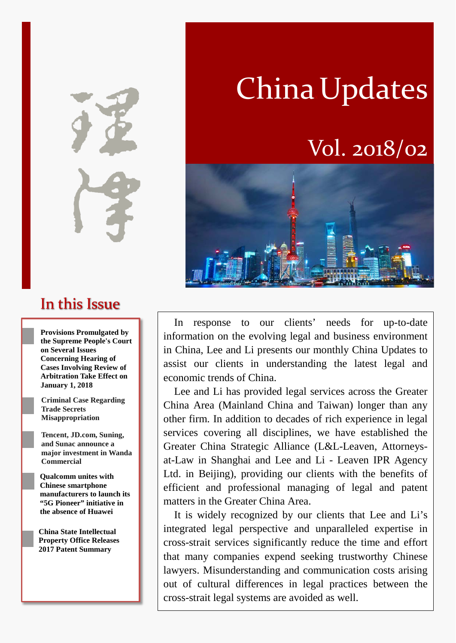In this Issue

**Provisions Promulgated by the Supreme People's Court on Several Issues Concerning Hearing of Cases Involving Review of Arbitration Take Effect on January 1, 2018**

**Criminal Case Regarding Trade Secrets Misappropriation**

**Tencent, JD.com, Suning, and Sunac announce a major investment in Wanda Commercial**

**Qualcomm unites with Chinese smartphone manufacturers to launch its "5G Pioneer" initiative in the absence of Huawei**

**China State Intellectual Property Office Releases 2017 Patent Summary**

# China Updates

# Vol. 2018/02



In response to our clients' needs for up-to-date information on the evolving legal and business environment in China, Lee and Li presents our monthly China Updates to assist our clients in understanding the latest legal and economic trends of China.

Lee and Li has provided legal services across the Greater China Area (Mainland China and Taiwan) longer than any other firm. In addition to decades of rich experience in legal services covering all disciplines, we have established the Greater China Strategic Alliance (L&L-Leaven, Attorneysat-Law in Shanghai and Lee and Li - Leaven IPR Agency Ltd. in Beijing), providing our clients with the benefits of efficient and professional managing of legal and patent matters in the Greater China Area.

It is widely recognized by our clients that Lee and Li's integrated legal perspective and unparalleled expertise in cross-strait services significantly reduce the time and effort that many companies expend seeking trustworthy Chinese lawyers. Misunderstanding and communication costs arising out of cultural differences in legal practices between the cross-strait legal systems are avoided as well.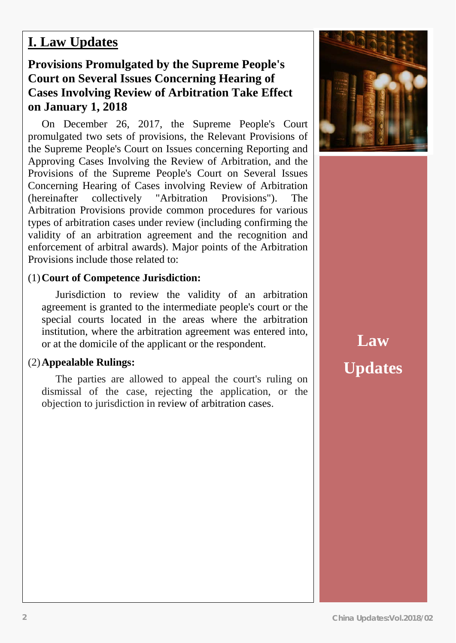### **I. Law Updates**

### **Provisions Promulgated by the Supreme People's Court on Several Issues Concerning Hearing of Cases Involving Review of Arbitration Take Effect on January 1, 2018**

On December 26, 2017, the Supreme People's Court promulgated two sets of provisions, the Relevant Provisions of the Supreme People's Court on Issues concerning Reporting and Approving Cases Involving the Review of Arbitration, and the Provisions of the Supreme People's Court on Several Issues Concerning Hearing of Cases involving Review of Arbitration (hereinafter collectively "Arbitration Provisions"). The Arbitration Provisions provide common procedures for various types of arbitration cases under review (including confirming the validity of an arbitration agreement and the recognition and enforcement of arbitral awards). Major points of the Arbitration Provisions include those related to:

#### (1)**Court of Competence Jurisdiction:**

Jurisdiction to review the validity of an arbitration agreement is granted to the intermediate people's court or the special courts located in the areas where the arbitration institution, where the arbitration agreement was entered into, or at the domicile of the applicant or the respondent.

#### (2)**Appealable Rulings:**

The parties are allowed to appeal the court's ruling on dismissal of the case, rejecting the application, or the objection to jurisdiction in review of arbitration cases.



# **Law Updates**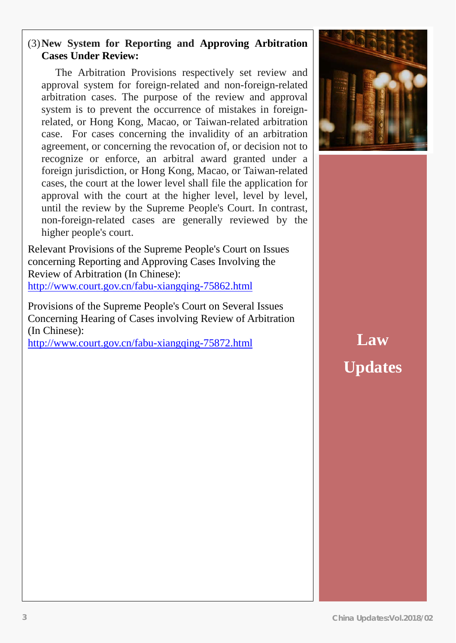#### (3)**New System for Reporting and Approving Arbitration Cases Under Review:**

The Arbitration Provisions respectively set review and approval system for foreign-related and non-foreign-related arbitration cases. The purpose of the review and approval system is to prevent the occurrence of mistakes in foreignrelated, or Hong Kong, Macao, or Taiwan-related arbitration case. For cases concerning the invalidity of an arbitration agreement, or concerning the revocation of, or decision not to recognize or enforce, an arbitral award granted under a foreign jurisdiction, or Hong Kong, Macao, or Taiwan-related cases, the court at the lower level shall file the application for approval with the court at the higher level, level by level, until the review by the Supreme People's Court. In contrast, non-foreign-related cases are generally reviewed by the higher people's court.

Relevant Provisions of the Supreme People's Court on Issues concerning Reporting and Approving Cases Involving the Review of Arbitration (In Chinese): <http://www.court.gov.cn/fabu-xiangqing-75862.html>

Provisions of the Supreme People's Court on Several Issues Concerning Hearing of Cases involving Review of Arbitration (In Chinese):

<http://www.court.gov.cn/fabu-xiangqing-75872.html>



# **Law Updates**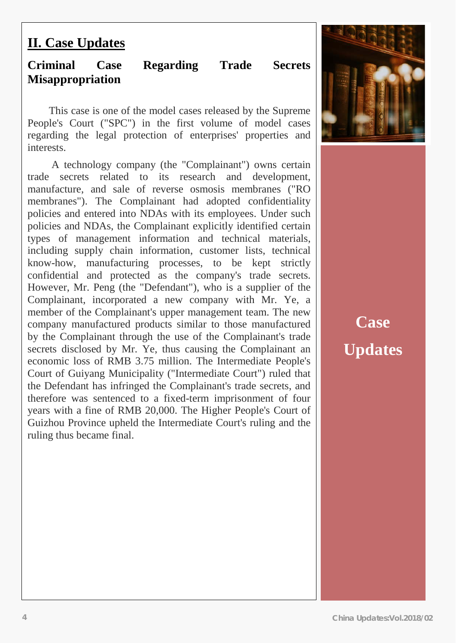# **II. Case Updates**

### **Criminal Case Regarding Trade Secrets Misappropriation**

This case is one of the model cases released by the Supreme People's Court ("SPC") in the first volume of model cases regarding the legal protection of enterprises' properties and interests.

A technology company (the "Complainant") owns certain trade secrets related to its research and development, manufacture, and sale of reverse osmosis membranes ("RO membranes"). The Complainant had adopted confidentiality policies and entered into NDAs with its employees. Under such policies and NDAs, the Complainant explicitly identified certain types of management information and technical materials, including supply chain information, customer lists, technical know-how, manufacturing processes, to be kept strictly confidential and protected as the company's trade secrets. However, Mr. Peng (the "Defendant"), who is a supplier of the Complainant, incorporated a new company with Mr. Ye, a member of the Complainant's upper management team. The new company manufactured products similar to those manufactured by the Complainant through the use of the Complainant's trade secrets disclosed by Mr. Ye, thus causing the Complainant an economic loss of RMB 3.75 million. The Intermediate People's Court of Guiyang Municipality ("Intermediate Court") ruled that the Defendant has infringed the Complainant's trade secrets, and therefore was sentenced to a fixed-term imprisonment of four years with a fine of RMB 20,000. The Higher People's Court of Guizhou Province upheld the Intermediate Court's ruling and the ruling thus became final.



# **Case Updates**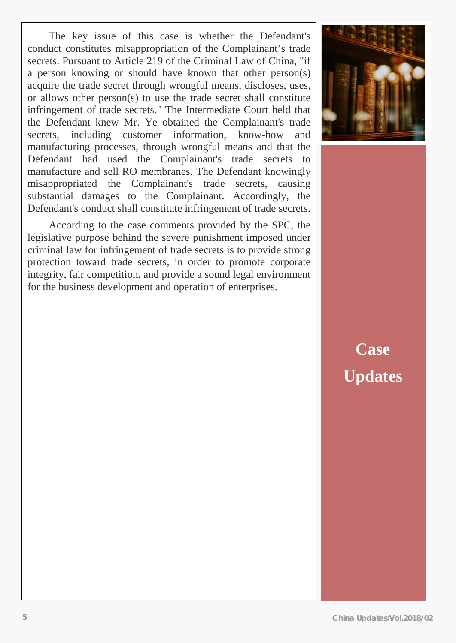$rac{3}{2}$ The key issue of this case is whether the Defendant's conduct constitutes misappropriation of the Complainant's trade secrets. Pursuant to Article 219 of the Criminal Law of China, "if a person knowing or should have known that other person(s) acquire the trade secret through wrongful means, discloses, uses, or allows other person(s) to use the trade secret shall constitute infringement of trade secrets." The Intermediate Court held that the Defendant knew Mr. Ye obtained the Complainant's trade secrets, including customer information, know-how and manufacturing processes, through wrongful means and that the Defendant had used the Complainant's trade secrets to manufacture and sell RO membranes. The Defendant knowingly misappropriated the Complainant's trade secrets, causing substantial damages to the Complainant. Accordingly, the Defendant's conduct shall constitute infringement of trade secrets.

According to the case comments provided by the SPC, the legislative purpose behind the severe punishment imposed under criminal law for infringement of trade secrets is to provide strong protection toward trade secrets, in order to promote corporate integrity, fair competition, and provide a sound legal environment for the business development and operation of enterprises.



# **Case Updates**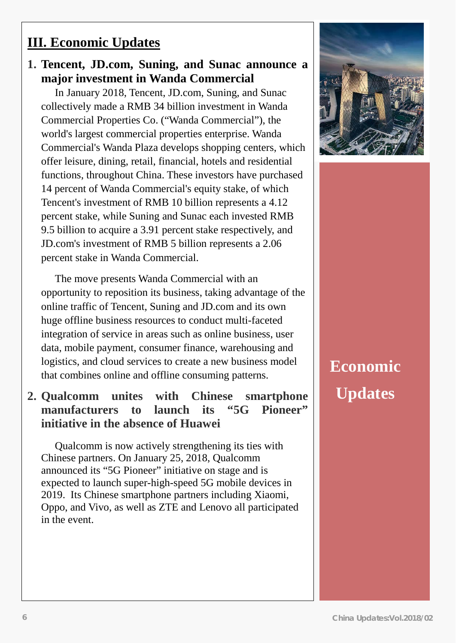### **III. Economic Updates**

### **1. Tencent, JD.com, Suning, and Sunac announce a major investment in Wanda Commercial**

In January 2018, Tencent, JD.com, Suning, and Sunac collectively made a RMB 34 billion investment in Wanda Commercial Properties Co. ("Wanda Commercial"), the world's largest commercial properties enterprise. Wanda Commercial's Wanda Plaza develops shopping centers, which offer leisure, dining, retail, financial, hotels and residential functions, throughout China. These investors have purchased 14 percent of Wanda Commercial's equity stake, of which Tencent's investment of RMB 10 billion represents a 4.12 percent stake, while Suning and Sunac each invested RMB 9.5 billion to acquire a 3.91 percent stake respectively, and JD.com's investment of RMB 5 billion represents a 2.06 percent stake in Wanda Commercial.

The move presents Wanda Commercial with an opportunity to reposition its business, taking advantage of the online traffic of Tencent, Suning and JD.com and its own huge offline business resources to conduct multi-faceted integration of service in areas such as online business, user data, mobile payment, consumer finance, warehousing and logistics, and cloud services to create a new business model that combines online and offline consuming patterns.

### **2. Qualcomm unites with Chinese smartphone manufacturers to launch its "5G Pioneer" initiative in the absence of Huawei**

Qualcomm is now actively strengthening its ties with Chinese partners. On January 25, 2018, Qualcomm announced its "5G Pioneer" initiative on stage and is expected to launch super-high-speed 5G mobile devices in 2019. Its Chinese smartphone partners including Xiaomi, Oppo, and Vivo, as well as ZTE and Lenovo all participated in the event.



# **Economic Updates**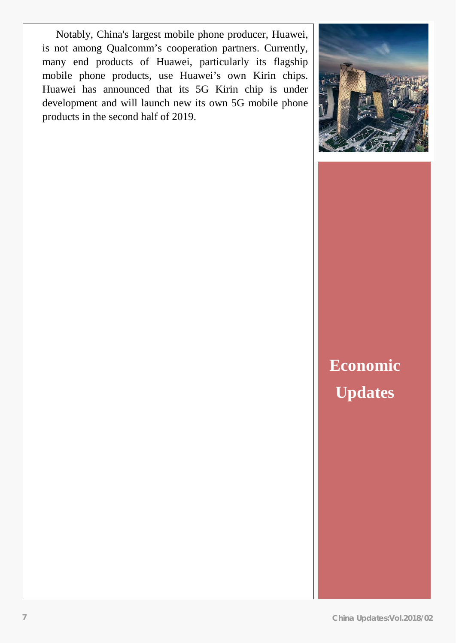Notably, China's largest mobile phone producer, Huawei, is not among Qualcomm's cooperation partners. Currently, many end products of Huawei, particularly its flagship mobile phone products, use Huawei's own Kirin chips. Huawei has announced that its 5G Kirin chip is under development and will launch new its own 5G mobile phone products in the second half of 2019.



**Economic Updates**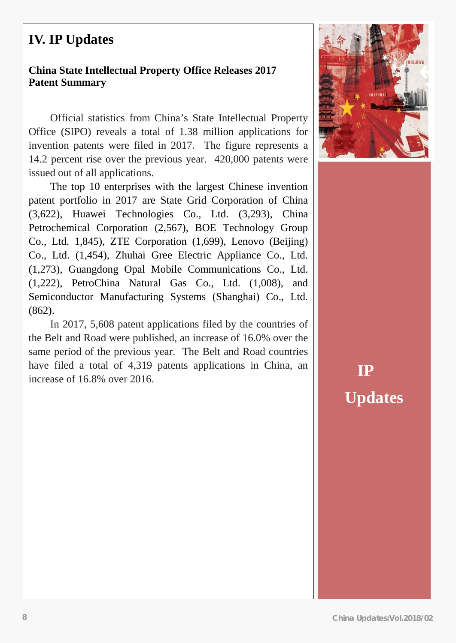## **IV. IP Updates**

#### **China State Intellectual Property Office Releases 2017 Patent Summary**

Official statistics from China's State Intellectual Property Office (SIPO) reveals a total of 1.38 million applications for invention patents were filed in 2017. The figure represents a 14.2 percent rise over the previous year. 420,000 patents were issued out of all applications.

The top 10 enterprises with the largest Chinese invention patent portfolio in 2017 are State Grid Corporation of China (3,622), Huawei Technologies Co., Ltd. (3,293), China Petrochemical Corporation (2,567), BOE Technology Group Co., Ltd. 1,845), ZTE Corporation (1,699), Lenovo (Beijing) Co., Ltd. (1,454), Zhuhai Gree Electric Appliance Co., Ltd. (1,273), Guangdong Opal Mobile Communications Co., Ltd. (1,222), PetroChina Natural Gas Co., Ltd. (1,008), and Semiconductor Manufacturing Systems (Shanghai) Co., Ltd. (862).

In 2017, 5,608 patent applications filed by the countries of the Belt and Road were published, an increase of 16.0% over the same period of the previous year. The Belt and Road countries have filed a total of 4,319 patents applications in China, an increase of 16.8% over 2016.



**IP Updates**